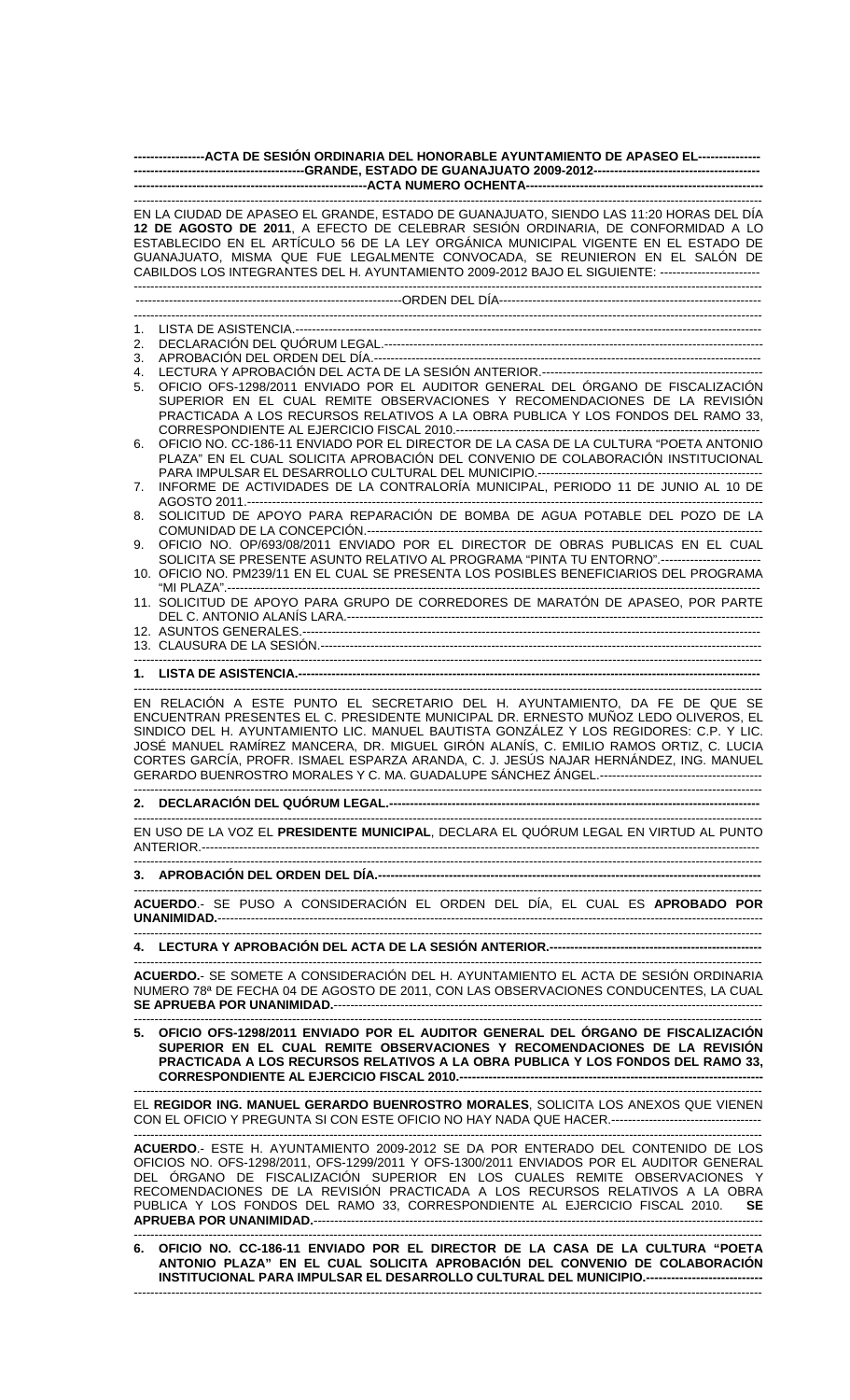| -----------------ACTA DE SESIÓN ORDINARIA DEL HONORABLE AYUNTAMIENTO DE APASEO EL----------------                                                                                                                                                                                                                                                                                                                                                                                        |
|------------------------------------------------------------------------------------------------------------------------------------------------------------------------------------------------------------------------------------------------------------------------------------------------------------------------------------------------------------------------------------------------------------------------------------------------------------------------------------------|
|                                                                                                                                                                                                                                                                                                                                                                                                                                                                                          |
| ------------------------------<br>EN LA CIUDAD DE APASEO EL GRANDE, ESTADO DE GUANAJUATO, SIENDO LAS 11:20 HORAS DEL DÍA<br>12 DE AGOSTO DE 2011, A EFECTO DE CELEBRAR SESIÓN ORDINARIA, DE CONFORMIDAD A LO<br>ESTABLECIDO EN EL ARTÍCULO 56 DE LA LEY ORGÁNICA MUNICIPAL VIGENTE EN EL ESTADO DE<br>GUANAJUATO, MISMA QUE FUE LEGALMENTE CONVOCADA, SE REUNIERON EN EL SALÓN DE<br>CABILDOS LOS INTEGRANTES DEL H. AYUNTAMIENTO 2009-2012 BAJO EL SIGUIENTE: ------------------------- |
|                                                                                                                                                                                                                                                                                                                                                                                                                                                                                          |
|                                                                                                                                                                                                                                                                                                                                                                                                                                                                                          |
| 1.<br>2.                                                                                                                                                                                                                                                                                                                                                                                                                                                                                 |
| 3.                                                                                                                                                                                                                                                                                                                                                                                                                                                                                       |
| 4.                                                                                                                                                                                                                                                                                                                                                                                                                                                                                       |
| OFICIO OFS-1298/2011 ENVIADO POR EL AUDITOR GENERAL DEL ÓRGANO DE FISCALIZACIÓN<br>5.<br>SUPERIOR EN EL CUAL REMITE OBSERVACIONES Y RECOMENDACIONES DE LA REVISIÓN<br>PRACTICADA A LOS RECURSOS RELATIVOS A LA OBRA PUBLICA Y LOS FONDOS DEL RAMO 33,                                                                                                                                                                                                                                    |
| OFICIO NO. CC-186-11 ENVIADO POR EL DIRECTOR DE LA CASA DE LA CULTURA "POETA ANTONIO<br>6.                                                                                                                                                                                                                                                                                                                                                                                               |
| PLAZA" EN EL CUAL SOLICITA APROBACIÓN DEL CONVENIO DE COLABORACIÓN INSTITUCIONAL<br>INFORME DE ACTIVIDADES DE LA CONTRALORÍA MUNICIPAL, PERIODO 11 DE JUNIO AL 10 DE<br>7.                                                                                                                                                                                                                                                                                                               |
|                                                                                                                                                                                                                                                                                                                                                                                                                                                                                          |
| SOLICITUD DE APOYO PARA REPARACIÓN DE BOMBA DE AGUA POTABLE DEL POZO DE LA<br>8.                                                                                                                                                                                                                                                                                                                                                                                                         |
| OFICIO NO. OP/693/08/2011 ENVIADO POR EL DIRECTOR DE OBRAS PUBLICAS EN EL CUAL<br>9.<br>SOLICITA SE PRESENTE ASUNTO RELATIVO AL PROGRAMA "PINTA TU ENTORNO".------------------------                                                                                                                                                                                                                                                                                                     |
| 10. OFICIO NO. PM239/11 EN EL CUAL SE PRESENTA LOS POSIBLES BENEFICIARIOS DEL PROGRAMA                                                                                                                                                                                                                                                                                                                                                                                                   |
| 11. SOLICITUD DE APOYO PARA GRUPO DE CORREDORES DE MARATÓN DE APASEO, POR PARTE                                                                                                                                                                                                                                                                                                                                                                                                          |
|                                                                                                                                                                                                                                                                                                                                                                                                                                                                                          |
|                                                                                                                                                                                                                                                                                                                                                                                                                                                                                          |
|                                                                                                                                                                                                                                                                                                                                                                                                                                                                                          |
|                                                                                                                                                                                                                                                                                                                                                                                                                                                                                          |
| EN RELACIÓN A ESTE PUNTO EL SECRETARIO DEL H. AYUNTAMIENTO, DA FE DE QUE SE<br>ENCUENTRAN PRESENTES EL C. PRESIDENTE MUNICIPAL DR. ERNESTO MUÑOZ LEDO OLIVEROS, EL<br>SINDICO DEL H. AYUNTAMIENTO LIC. MANUEL BAUTISTA GONZÁLEZ Y LOS REGIDORES: C.P. Y LIC.<br>JOSÉ MANUEL RAMÍREZ MANCERA, DR. MIGUEL GIRÓN ALANÍS, C. EMILIO RAMOS ORTIZ, C. LUCIA<br>CORTES GARCÍA, PROFR. ISMAEL ESPARZA ARANDA, C. J. JESÚS NAJAR HERNÁNDEZ, ING. MANUEL                                           |
|                                                                                                                                                                                                                                                                                                                                                                                                                                                                                          |
| EN USO DE LA VOZ EL PRESIDENTE MUNICIPAL, DECLARA EL QUÓRUM LEGAL EN VIRTUD AL PUNTO                                                                                                                                                                                                                                                                                                                                                                                                     |
|                                                                                                                                                                                                                                                                                                                                                                                                                                                                                          |
|                                                                                                                                                                                                                                                                                                                                                                                                                                                                                          |
| ACUERDO.- SE PUSO A CONSIDERACIÓN EL ORDEN DEL DÍA, EL CUAL ES APROBADO POR<br>--------------------------                                                                                                                                                                                                                                                                                                                                                                                |
|                                                                                                                                                                                                                                                                                                                                                                                                                                                                                          |
| ACUERDO.- SE SOMETE A CONSIDERACIÓN DEL H. AYUNTAMIENTO EL ACTA DE SESIÓN ORDINARIA<br>NUMERO 78ª DE FECHA 04 DE AGOSTO DE 2011, CON LAS OBSERVACIONES CONDUCENTES, LA CUAL                                                                                                                                                                                                                                                                                                              |
| 5. OFICIO OFS-1298/2011 ENVIADO POR EL AUDITOR GENERAL DEL ÓRGANO DE FISCALIZACIÓN<br>SUPERIOR EN EL CUAL REMITE OBSERVACIONES Y RECOMENDACIONES DE LA REVISIÓN<br>PRACTICADA A LOS RECURSOS RELATIVOS A LA OBRA PUBLICA Y LOS FONDOS DEL RAMO 33,                                                                                                                                                                                                                                       |
| ---------------------------------<br>EL <b>REGIDOR ING. MANUEL GERARDO BUENROSTRO MORALES</b> , SOLICITA LOS ANEXOS QUE VIENEN<br>CON EL OFICIO Y PREGUNTA SI CON ESTE OFICIO NO HAY NADA QUE HACER.----------------------------------                                                                                                                                                                                                                                                   |
| ACUERDO.- ESTE H. AYUNTAMIENTO 2009-2012 SE DA POR ENTERADO DEL CONTENIDO DE LOS<br>OFICIOS NO. OFS-1298/2011, OFS-1299/2011 Y OFS-1300/2011 ENVIADOS POR EL AUDITOR GENERAL<br>DEL ÓRGANO DE FISCALIZACIÓN SUPERIOR EN LOS CUALES REMITE OBSERVACIONES Y<br>RECOMENDACIONES DE LA REVISIÓN PRACTICADA A LOS RECURSOS RELATIVOS A LA OBRA<br>PUBLICA Y LOS FONDOS DEL RAMO 33, CORRESPONDIENTE AL EJERCICIO FISCAL 2010.<br><b>SE</b>                                                    |
| $100, 11$ FULLER BOR EL BIREATOR RE LA CAOL RE LA QUI TURA "POETA                                                                                                                                                                                                                                                                                                                                                                                                                        |

**6. OFICIO NO. CC-186-11 ENVIADO POR EL DIRECTOR DE LA CASA DE LA CULTURA "POETA ANTONIO PLAZA" EN EL CUAL SOLICITA APROBACIÓN DEL CONVENIO DE COLABORACIÓN INSTITUCIONAL PARA IMPULSAR EL DESARROLLO CULTURAL DEL MUNICIPIO.----------------------------**  -------------------------------------------------------------------------------------------------------------------------------------------------------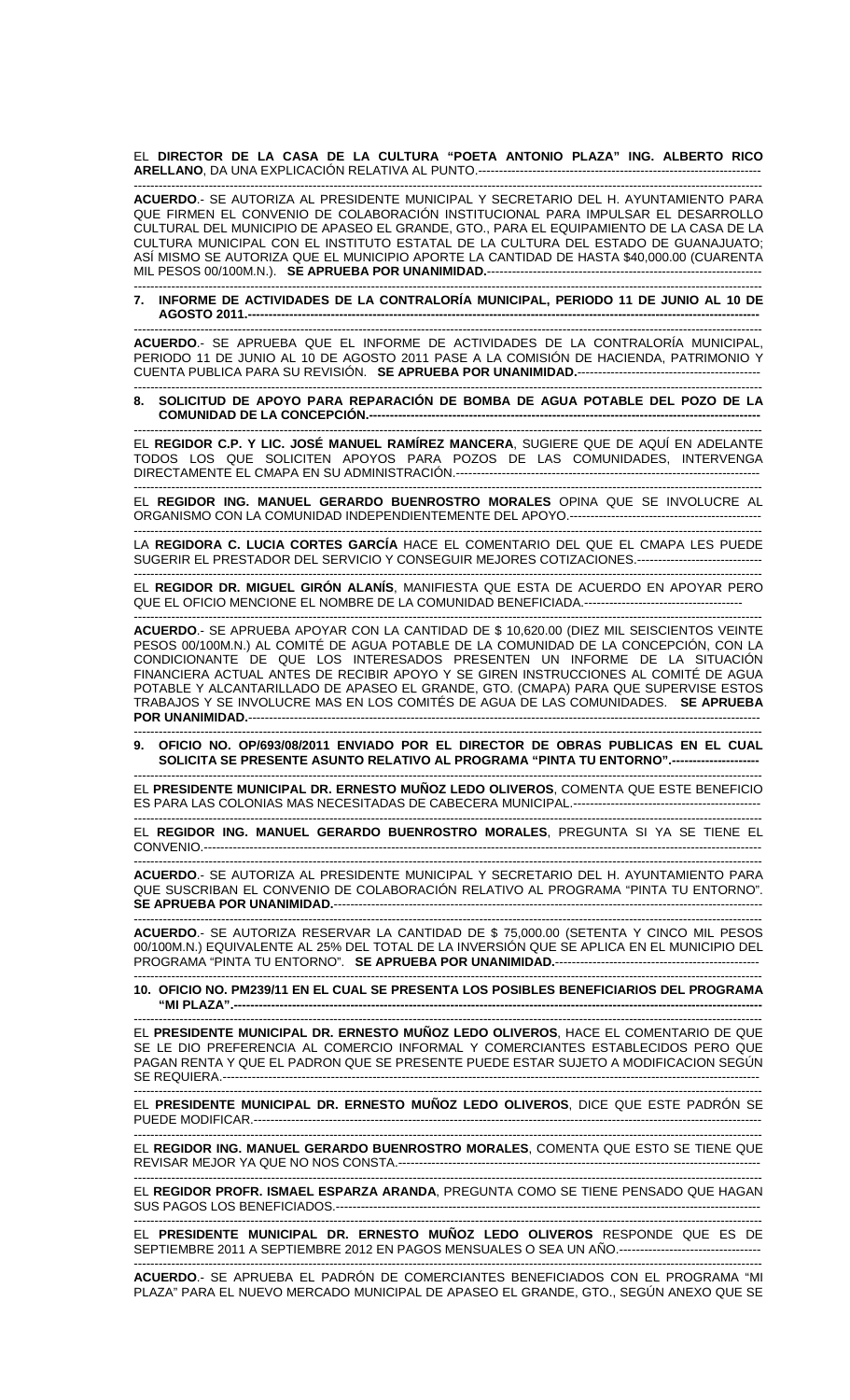EL **DIRECTOR DE LA CASA DE LA CULTURA "POETA ANTONIO PLAZA" ING. ALBERTO RICO ARELLANO**, DA UNA EXPLICACIÓN RELATIVA AL PUNTO.--------------------------------------------------------------------

------------------------------------------------------------------------------------------------------------------------------------------------------- **ACUERDO**.- SE AUTORIZA AL PRESIDENTE MUNICIPAL Y SECRETARIO DEL H. AYUNTAMIENTO PARA QUE FIRMEN EL CONVENIO DE COLABORACIÓN INSTITUCIONAL PARA IMPULSAR EL DESARROLLO CULTURAL DEL MUNICIPIO DE APASEO EL GRANDE, GTO., PARA EL EQUIPAMIENTO DE LA CASA DE LA CULTURA MUNICIPAL CON EL INSTITUTO ESTATAL DE LA CULTURA DEL ESTADO DE GUANAJUATO; ASÍ MISMO SE AUTORIZA QUE EL MUNICIPIO APORTE LA CANTIDAD DE HASTA \$40,000.00 (CUARENTA MIL PESOS 00/100M.N.). **SE APRUEBA POR UNANIMIDAD.**------------------------------------------------------------------

------------------------------------------------------------------------------------------------------------------------------------------------------- **7. INFORME DE ACTIVIDADES DE LA CONTRALORÍA MUNICIPAL, PERIODO 11 DE JUNIO AL 10 DE AGOSTO 2011.---------------------------------------------------------------------------------------------------------------------------** 

------------------------------------------------------------------------------------------------------------------------------------------------------- **ACUERDO**.- SE APRUEBA QUE EL INFORME DE ACTIVIDADES DE LA CONTRALORÍA MUNICIPAL, PERIODO 11 DE JUNIO AL 10 DE AGOSTO 2011 PASE A LA COMISIÓN DE HACIENDA, PATRIMONIO Y CUENTA PUBLICA PARA SU REVISIÓN. **SE APRUEBA POR UNANIMIDAD.**-------------------------------------------- -------------------------------------------------------------------------------------------------------------------------------------------------------

**8. SOLICITUD DE APOYO PARA REPARACIÓN DE BOMBA DE AGUA POTABLE DEL POZO DE LA COMUNIDAD DE LA CONCEPCIÓN.-------**

------------------------------------------------------------------------------------------------------------------------------------------------------- EL **REGIDOR C.P. Y LIC. JOSÉ MANUEL RAMÍREZ MANCERA**, SUGIERE QUE DE AQUÍ EN ADELANTE TODOS LOS QUE SOLICITEN APOYOS PARA POZOS DE LAS COMUNIDADES, INTERVENGA DIRECTAMENTE EL CMAPA EN SU ADMINISTRACIÓN.-------------------------------------------------------------------------

------------------------------------------------------------------------------------------------------------------------------------------------------- EL **REGIDOR ING. MANUEL GERARDO BUENROSTRO MORALES** OPINA QUE SE INVOLUCRE AL ORGANISMO CON LA COMUNIDAD INDEPENDIENTEMENTE DEL APOYO.----------------------------------------------

------------------------------------------------------------------------------------------------------------------------------------------------------- LA **REGIDORA C. LUCIA CORTES GARCÍA** HACE EL COMENTARIO DEL QUE EL CMAPA LES PUEDE SUGERIR EL PRESTADOR DEL SERVICIO Y CONSEGUIR MEJORES COTIZACIONES.------------------------------

------------------------------------------------------------------------------------------------------------------------------------------------------- EL **REGIDOR DR. MIGUEL GIRÓN ALANÍS**, MANIFIESTA QUE ESTA DE ACUERDO EN APOYAR PERO QUE EL OFICIO MENCIONE EL NOMBRE DE LA COMUNIDAD BENEFICIADA.------------------------------

------------------------------------------------------------------------------------------------------------------------------------------------------- **ACUERDO**.- SE APRUEBA APOYAR CON LA CANTIDAD DE \$ 10,620.00 (DIEZ MIL SEISCIENTOS VEINTE PESOS 00/100M.N.) AL COMITÉ DE AGUA POTABLE DE LA COMUNIDAD DE LA CONCEPCIÓN, CON LA CONDICIONANTE DE QUE LOS INTERESADOS PRESENTEN UN INFORME DE LA SITUACIÓN FINANCIERA ACTUAL ANTES DE RECIBIR APOYO Y SE GIREN INSTRUCCIONES AL COMITÉ DE AGUA POTABLE Y ALCANTARILLADO DE APASEO EL GRANDE, GTO. (CMAPA) PARA QUE SUPERVISE ESTOS TRABAJOS Y SE INVOLUCRE MAS EN LOS COMITÉS DE AGUA DE LAS COMUNIDADES. **SE APRUEBA POR UNANIMIDAD.---**

------------------------------------------------------------------------------------------------------------------------------------------------------- **9. OFICIO NO. OP/693/08/2011 ENVIADO POR EL DIRECTOR DE OBRAS PUBLICAS EN EL CUAL**  SOLICITA SE PRESENTE ASUNTO RELATIVO AL PROGRAMA "PINTA TU ENTORNO".--

------------------------------------------------------------------------------------------------------------------------------------------------------- EL **PRESIDENTE MUNICIPAL DR. ERNESTO MUÑOZ LEDO OLIVEROS**, COMENTA QUE ESTE BENEFICIO ES PARA LAS COLONIAS MAS NECESITADAS DE CABECERA MUNICIPAL.---------------------------------------------

------------------------------------------------------------------------------------------------------------------------------------------------------- EL **REGIDOR ING. MANUEL GERARDO BUENROSTRO MORALES**, PREGUNTA SI YA SE TIENE EL CONVENIO.--------------------------------------------------------------------------------------------------------------------------------------

------------------------------------------------------------------------------------------------------------------------------------------------------- **ACUERDO**.- SE AUTORIZA AL PRESIDENTE MUNICIPAL Y SECRETARIO DEL H. AYUNTAMIENTO PARA QUE SUSCRIBAN EL CONVENIO DE COLABORACIÓN RELATIVO AL PROGRAMA "PINTA TU ENTORNO". **SE APRUEBA POR UNANIMIDAD.**-------------------------------------------------------------------------------------------------------

------------------------------------------------------------------------------------------------------------------------------------------------------- **ACUERDO**.- SE AUTORIZA RESERVAR LA CANTIDAD DE \$ 75,000.00 (SETENTA Y CINCO MIL PESOS 00/100M.N.) EQUIVALENTE AL 25% DEL TOTAL DE LA INVERSIÓN QUE SE APLICA EN EL MUNICIPIO DEL PROGRAMA "PINTA TU ENTORNO". **SE APRUEBA POR UNANIMIDAD.**------------------------------------------------- -------------------------------------------------------------------------------------------------------------------------------------------------------

## **10. OFICIO NO. PM239/11 EN EL CUAL SE PRESENTA LOS POSIBLES BENEFICIARIOS DEL PROGRAMA**  "MI PLAZA".--

------------------------------------------------------------------------------------------------------------------------------------------------------- EL **PRESIDENTE MUNICIPAL DR. ERNESTO MUÑOZ LEDO OLIVEROS**, HACE EL COMENTARIO DE QUE SE LE DIO PREFERENCIA AL COMERCIO INFORMAL Y COMERCIANTES ESTABLECIDOS PERO QUE PAGAN RENTA Y QUE EL PADRON QUE SE PRESENTE PUEDE ESTAR SUJETO A MODIFICACION SEGÚN SE REQUIERA.-

------------------------------------------------------------------------------------------------------------------------------------------------------- EL **PRESIDENTE MUNICIPAL DR. ERNESTO MUÑOZ LEDO OLIVEROS**, DICE QUE ESTE PADRÓN SE PUEDE MODIFICAR.--------------------------------------------------------------------------------------------------------------------------

EL **REGIDOR ING. MANUEL GERARDO BUENROSTRO MORALES**, COMENTA QUE ESTO SE TIENE QUE REVISAR MEJOR YA QUE NO NOS CONSTA.---------------------------------------------------------------------------------------

------------------------------------------------------------------------------------------------------------------------------------------------------- EL **REGIDOR PROFR. ISMAEL ESPARZA ARANDA**, PREGUNTA COMO SE TIENE PENSADO QUE HAGAN SUS PAGOS LOS BENEFICIADOS.------------------------------------------------------------------------------------------------------

------------------------------------------------------------------------------------------------------------------------------------------------------- EL **PRESIDENTE MUNICIPAL DR. ERNESTO MUÑOZ LEDO OLIVEROS** RESPONDE QUE ES DE SEPTIEMBRE 2011 A SEPTIEMBRE 2012 EN PAGOS MENSUALES O SEA UN AÑO.----------------------------------

------------------------------------------------------------------------------------------------------------------------------------------------------- **ACUERDO**.- SE APRUEBA EL PADRÓN DE COMERCIANTES BENEFICIADOS CON EL PROGRAMA "MI PLAZA" PARA EL NUEVO MERCADO MUNICIPAL DE APASEO EL GRANDE, GTO., SEGÚN ANEXO QUE SE